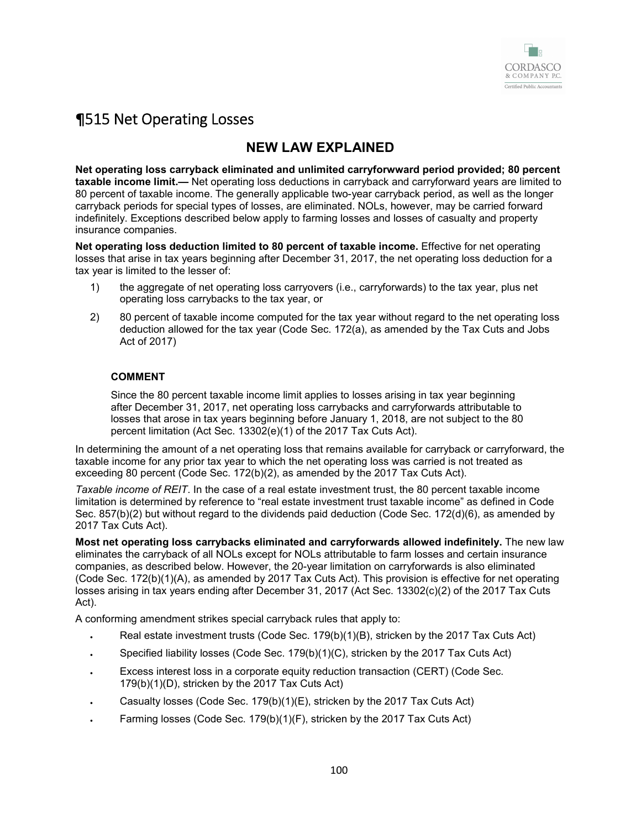

# ¶515 Net Operating Losses

# **NEW LAW EXPLAINED**

**Net operating loss carryback eliminated and unlimited carryforwward period provided; 80 percent taxable income limit.—** Net operating loss deductions in carryback and carryforward years are limited to 80 percent of taxable income. The generally applicable two-year carryback period, as well as the longer carryback periods for special types of losses, are eliminated. NOLs, however, may be carried forward indefinitely. Exceptions described below apply to farming losses and losses of casualty and property insurance companies.

**Net operating loss deduction limited to 80 percent of taxable income.** Effective for net operating losses that arise in tax years beginning after December 31, 2017, the net operating loss deduction for a tax year is limited to the lesser of:

- 1) the aggregate of net operating loss carryovers (i.e., carryforwards) to the tax year, plus net operating loss carrybacks to the tax year, or
- 2) 80 percent of taxable income computed for the tax year without regard to the net operating loss deduction allowed for the tax year (Code Sec. 172(a), as amended by the Tax Cuts and Jobs Act of 2017)

## **COMMENT**

Since the 80 percent taxable income limit applies to losses arising in tax year beginning after December 31, 2017, net operating loss carrybacks and carryforwards attributable to losses that arose in tax years beginning before January 1, 2018, are not subject to the 80 percent limitation (Act Sec. 13302(e)(1) of the 2017 Tax Cuts Act).

In determining the amount of a net operating loss that remains available for carryback or carryforward, the taxable income for any prior tax year to which the net operating loss was carried is not treated as exceeding 80 percent (Code Sec. 172(b)(2), as amended by the 2017 Tax Cuts Act).

*Taxable income of REIT*. In the case of a real estate investment trust, the 80 percent taxable income limitation is determined by reference to "real estate investment trust taxable income" as defined in Code Sec. 857(b)(2) but without regard to the dividends paid deduction (Code Sec. 172(d)(6), as amended by 2017 Tax Cuts Act).

**Most net operating loss carrybacks eliminated and carryforwards allowed indefinitely.** The new law eliminates the carryback of all NOLs except for NOLs attributable to farm losses and certain insurance companies, as described below. However, the 20-year limitation on carryforwards is also eliminated (Code Sec. 172(b)(1)(A), as amended by 2017 Tax Cuts Act). This provision is effective for net operating losses arising in tax years ending after December 31, 2017 (Act Sec. 13302(c)(2) of the 2017 Tax Cuts Act).

A conforming amendment strikes special carryback rules that apply to:

- Real estate investment trusts (Code Sec. 179(b)(1)(B), stricken by the 2017 Tax Cuts Act)
- Specified liability losses (Code Sec. 179(b)(1)(C), stricken by the 2017 Tax Cuts Act)
- Excess interest loss in a corporate equity reduction transaction (CERT) (Code Sec. 179(b)(1)(D), stricken by the 2017 Tax Cuts Act)
- Casualty losses (Code Sec. 179(b)(1)(E), stricken by the 2017 Tax Cuts Act)
- Farming losses (Code Sec. 179(b)(1)(F), stricken by the 2017 Tax Cuts Act)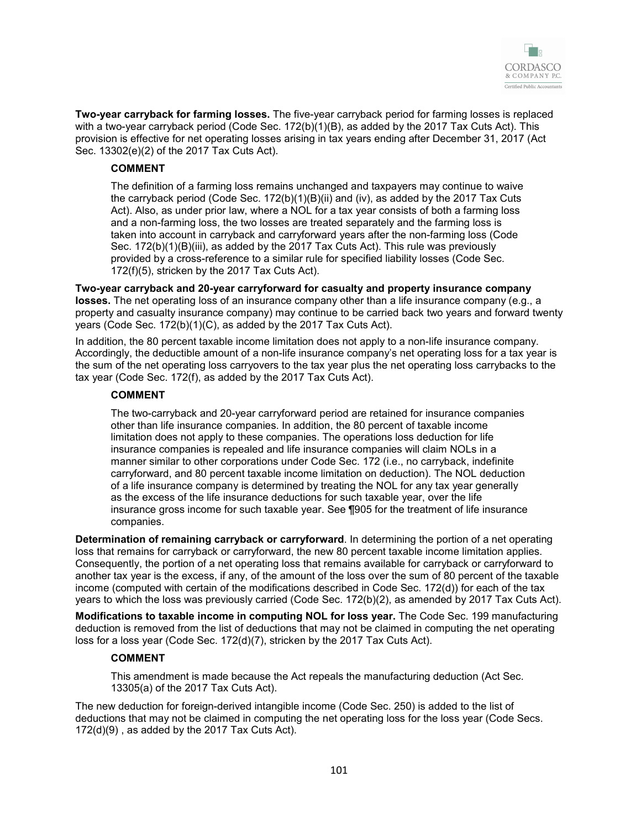

**Two-year carryback for farming losses.** The five-year carryback period for farming losses is replaced with a two-year carryback period (Code Sec. 172(b)(1)(B), as added by the 2017 Tax Cuts Act). This provision is effective for net operating losses arising in tax years ending after December 31, 2017 (Act Sec. 13302(e)(2) of the 2017 Tax Cuts Act).

#### **COMMENT**

The definition of a farming loss remains unchanged and taxpayers may continue to waive the carryback period (Code Sec. 172(b)(1)(B)(ii) and (iv), as added by the 2017 Tax Cuts Act). Also, as under prior law, where a NOL for a tax year consists of both a farming loss and a non-farming loss, the two losses are treated separately and the farming loss is taken into account in carryback and carryforward years after the non-farming loss (Code Sec. 172(b)(1)(B)(iii), as added by the 2017 Tax Cuts Act). This rule was previously provided by a cross-reference to a similar rule for specified liability losses (Code Sec. 172(f)(5), stricken by the 2017 Tax Cuts Act).

**Two-year carryback and 20-year carryforward for casualty and property insurance company losses.** The net operating loss of an insurance company other than a life insurance company (e.g., a property and casualty insurance company) may continue to be carried back two years and forward twenty years (Code Sec. 172(b)(1)(C), as added by the 2017 Tax Cuts Act).

In addition, the 80 percent taxable income limitation does not apply to a non-life insurance company. Accordingly, the deductible amount of a non-life insurance company's net operating loss for a tax year is the sum of the net operating loss carryovers to the tax year plus the net operating loss carrybacks to the tax year (Code Sec. 172(f), as added by the 2017 Tax Cuts Act).

#### **COMMENT**

The two-carryback and 20-year carryforward period are retained for insurance companies other than life insurance companies. In addition, the 80 percent of taxable income limitation does not apply to these companies. The operations loss deduction for life insurance companies is repealed and life insurance companies will claim NOLs in a manner similar to other corporations under Code Sec. 172 (i.e., no carryback, indefinite carryforward, and 80 percent taxable income limitation on deduction). The NOL deduction of a life insurance company is determined by treating the NOL for any tax year generally as the excess of the life insurance deductions for such taxable year, over the life insurance gross income for such taxable year. See ¶905 for the treatment of life insurance companies.

**Determination of remaining carryback or carryforward**. In determining the portion of a net operating loss that remains for carryback or carryforward, the new 80 percent taxable income limitation applies. Consequently, the portion of a net operating loss that remains available for carryback or carryforward to another tax year is the excess, if any, of the amount of the loss over the sum of 80 percent of the taxable income (computed with certain of the modifications described in Code Sec. 172(d)) for each of the tax years to which the loss was previously carried (Code Sec. 172(b)(2), as amended by 2017 Tax Cuts Act).

**Modifications to taxable income in computing NOL for loss year.** The Code Sec. 199 manufacturing deduction is removed from the list of deductions that may not be claimed in computing the net operating loss for a loss year (Code Sec. 172(d)(7), stricken by the 2017 Tax Cuts Act).

### **COMMENT**

This amendment is made because the Act repeals the manufacturing deduction (Act Sec. 13305(a) of the 2017 Tax Cuts Act).

The new deduction for foreign-derived intangible income (Code Sec. 250) is added to the list of deductions that may not be claimed in computing the net operating loss for the loss year (Code Secs. 172(d)(9) , as added by the 2017 Tax Cuts Act).